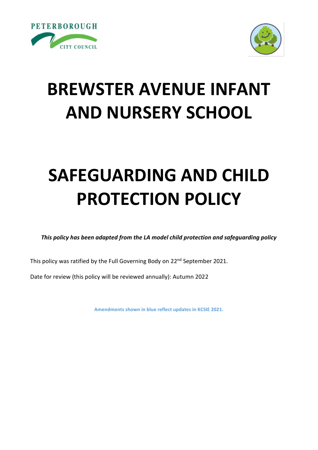



# **BREWSTER AVENUE INFANT AND NURSERY SCHOOL**

# **SAFEGUARDING AND CHILD PROTECTION POLICY**

*This policy has been adapted from the LA model child protection and safeguarding policy*

This policy was ratified by the Full Governing Body on 22<sup>nd</sup> September 2021.

Date for review (this policy will be reviewed annually): Autumn 2022

**Amendments shown in blue reflect updates in KCSIE 2021.**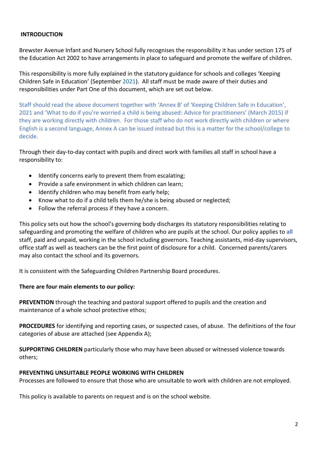#### **INTRODUCTION**

Brewster Avenue Infant and Nursery School fully recognises the responsibility it has under section 175 of the Education Act 2002 to have arrangements in place to safeguard and promote the welfare of children.

This responsibility is more fully explained in the statutory guidance for schools and colleges 'Keeping Children Safe in Education' (September 2021). All staff must be made aware of their duties and responsibilities under Part One of this document, which are set out below.

Staff should read the above document together with 'Annex B' of 'Keeping Children Safe in Education', 2021 and 'What to do if you're worried a child is being abused: Advice for practitioners' (March 2015) if they are working directly with children. For those staff who do not work directly with children or where English is a second language, Annex A can be issued instead but this is a matter for the school/college to decide.

Through their day-to-day contact with pupils and direct work with families all staff in school have a responsibility to:

- Identify concerns early to prevent them from escalating;
- Provide a safe environment in which children can learn;
- Identify children who may benefit from early help;
- Know what to do if a child tells them he/she is being abused or neglected;
- Follow the referral process if they have a concern.

This policy sets out how the school's governing body discharges its statutory responsibilities relating to safeguarding and promoting the welfare of children who are pupils at the school. Our policy applies to **all** staff, paid and unpaid, working in the school including governors. Teaching assistants, mid-day supervisors, office staff as well as teachers can be the first point of disclosure for a child. Concerned parents/carers may also contact the school and its governors.

It is consistent with the Safeguarding Children Partnership Board procedures.

#### **There are four main elements to our policy:**

**PREVENTION** through the teaching and pastoral support offered to pupils and the creation and maintenance of a whole school protective ethos;

**PROCEDURES** for identifying and reporting cases, or suspected cases, of abuse. The definitions of the four categories of abuse are attached (see Appendix A);

**SUPPORTING CHILDREN** particularly those who may have been abused or witnessed violence towards others;

#### **PREVENTING UNSUITABLE PEOPLE WORKING WITH CHILDREN**

Processes are followed to ensure that those who are unsuitable to work with children are not employed.

This policy is available to parents on request and is on the school website.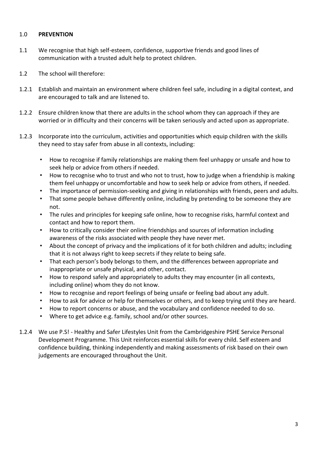#### 1.0 **PREVENTION**

- 1.1 We recognise that high self-esteem, confidence, supportive friends and good lines of communication with a trusted adult help to protect children.
- 1.2 The school will therefore:
- 1.2.1 Establish and maintain an environment where children feel safe, including in a digital context, and are encouraged to talk and are listened to.
- 1.2.2 Ensure children know that there are adults in the school whom they can approach if they are worried or in difficulty and their concerns will be taken seriously and acted upon as appropriate.
- 1.2.3 Incorporate into the curriculum, activities and opportunities which equip children with the skills they need to stay safer from abuse in all contexts, including:
	- How to recognise if family relationships are making them feel unhappy or unsafe and how to seek help or advice from others if needed.
	- How to recognise who to trust and who not to trust, how to judge when a friendship is making them feel unhappy or uncomfortable and how to seek help or advice from others, if needed.
	- The importance of permission-seeking and giving in relationships with friends, peers and adults.
	- That some people behave differently online, including by pretending to be someone they are not.
	- The rules and principles for keeping safe online, how to recognise risks, harmful context and contact and how to report them.
	- How to critically consider their online friendships and sources of information including awareness of the risks associated with people they have never met.
	- About the concept of privacy and the implications of it for both children and adults; including that it is not always right to keep secrets if they relate to being safe.
	- That each person's body belongs to them, and the differences between appropriate and inappropriate or unsafe physical, and other, contact.
	- How to respond safely and appropriately to adults they may encounter (in all contexts, including online) whom they do not know.
	- How to recognise and report feelings of being unsafe or feeling bad about any adult.
	- How to ask for advice or help for themselves or others, and to keep trying until they are heard.
	- How to report concerns or abuse, and the vocabulary and confidence needed to do so.
	- Where to get advice e.g. family, school and/or other sources.
- 1.2.4 We use P.S! Healthy and Safer Lifestyles Unit from the Cambridgeshire PSHE Service Personal Development Programme. This Unit reinforces essential skills for every child. Self esteem and confidence building, thinking independently and making assessments of risk based on their own judgements are encouraged throughout the Unit.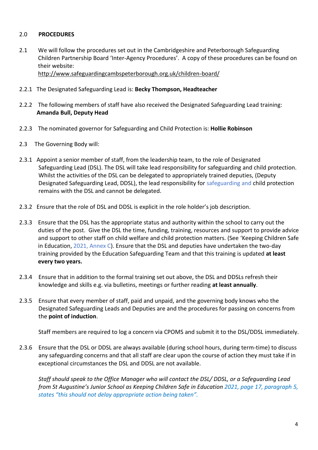#### 2.0 **PROCEDURES**

2.1 We will follow the procedures set out in the Cambridgeshire and Peterborough Safeguarding Children Partnership Board 'Inter-Agency Procedures'. A copy of these procedures can be found on their website: <http://www.safeguardingcambspeterborough.org.uk/children-board/>

- 2.2.1 The Designated Safeguarding Lead is: **Becky Thompson, Headteacher**
- 2.2.2 The following members of staff have also received the Designated Safeguarding Lead training:  **Amanda Bull, Deputy Head**
- 2.2.3 The nominated governor for Safeguarding and Child Protection is: **Hollie Robinson**
- 2.3 The Governing Body will:
- 2.3.1 Appoint a senior member of staff, from the leadership team, to the role of Designated Safeguarding Lead (DSL). The DSL will take lead responsibility for safeguarding and child protection. Whilst the activities of the DSL can be delegated to appropriately trained deputies, (Deputy Designated Safeguarding Lead, DDSL), the lead responsibility for safeguarding and child protection remains with the DSL and cannot be delegated.
- 2.3.2 Ensure that the role of DSL and DDSL is explicit in the role holder's job description.
- 2.3.3 Ensure that the DSL has the appropriate status and authority within the school to carry out the duties of the post. Give the DSL the time, funding, training, resources and support to provide advice and support to other staff on child welfare and child protection matters. (See 'Keeping Children Safe in Education,  $2021$ , Annex C). Ensure that the DSL and deputies have undertaken the two-day training provided by the Education Safeguarding Team and that this training is updated **at least every two years.**
- 2.3.4 Ensure that in addition to the formal training set out above, the DSL and DDSLs refresh their knowledge and skills e.g. via bulletins, meetings or further reading **at least annually**.
- 2.3.5 Ensure that every member of staff, paid and unpaid, and the governing body knows who the Designated Safeguarding Leads and Deputies are and the procedures for passing on concerns from the **point of induction**.

Staff members are required to log a concern via CPOMS and submit it to the DSL/DDSL immediately.

2.3.6 Ensure that the DSL or DDSL are always available (during school hours, during term-time) to discuss any safeguarding concerns and that all staff are clear upon the course of action they must take if in exceptional circumstances the DSL and DDSL are not available.

*Staff should speak to the Office Manager who will contact the DSL/ DDSL, or a Safeguarding Lead from St Augustine's Junior School as Keeping Children Safe in Education 2021, page 17, paragraph 5, states "this should not delay appropriate action being taken".*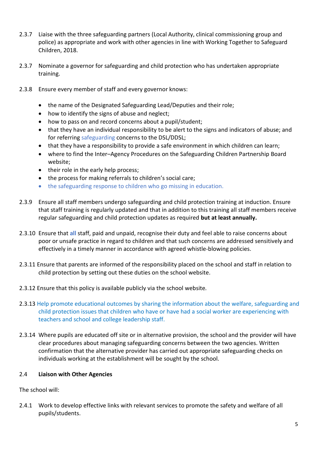- 2.3.7 Liaise with the three safeguarding partners (Local Authority, clinical commissioning group and police) as appropriate and work with other agencies in line with Working Together to Safeguard Children, 2018.
- 2.3.7 Nominate a governor for safeguarding and child protection who has undertaken appropriate training.
- 2.3.8 Ensure every member of staff and every governor knows:
	- the name of the Designated Safeguarding Lead/Deputies and their role;
	- how to identify the signs of abuse and neglect;
	- how to pass on and record concerns about a pupil/student;
	- that they have an individual responsibility to be alert to the signs and indicators of abuse; and for referring safeguarding concerns to the DSL/DDSL;
	- that they have a responsibility to provide a safe environment in which children can learn;
	- where to find the Inter–Agency Procedures on the Safeguarding Children Partnership Board website;
	- their role in the early help process;
	- the process for making referrals to children's social care;
	- the safeguarding response to children who go missing in education.
- 2.3.9 Ensure all staff members undergo safeguarding and child protection training at induction. Ensure that staff training is regularly updated and that in addition to this training all staff members receive regular safeguarding and child protection updates as required **but at least annually.**
- 2.3.10 Ensure that **all** staff, paid and unpaid, recognise their duty and feel able to raise concerns about poor or unsafe practice in regard to children and that such concerns are addressed sensitively and effectively in a timely manner in accordance with agreed whistle-blowing policies.
- 2.3.11 Ensure that parents are informed of the responsibility placed on the school and staff in relation to child protection by setting out these duties on the school website.
- 2.3.12 Ensure that this policy is available publicly via the school website*.*
- 2.3.13 Help promote educational outcomes by sharing the information about the welfare, safeguarding and child protection issues that children who have or have had a social worker are experiencing with teachers and school and college leadership staff.
- 2.3.14 Where pupils are educated off site or in alternative provision, the school and the provider will have clear procedures about managing safeguarding concerns between the two agencies. Written confirmation that the alternative provider has carried out appropriate safeguarding checks on individuals working at the establishment will be sought by the school.

#### 2.4 **Liaison with Other Agencies**

The school will:

2.4.1 Work to develop effective links with relevant services to promote the safety and welfare of all pupils/students.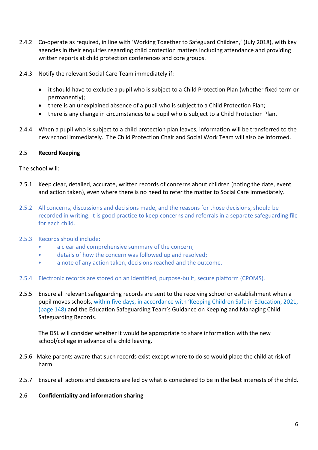- 2.4.2 Co-operate as required, in line with 'Working Together to Safeguard Children,' (July 2018), with key agencies in their enquiries regarding child protection matters including attendance and providing written reports at child protection conferences and core groups.
- 2.4.3 Notify the relevant Social Care Team immediately if:
	- it should have to exclude a pupil who is subject to a Child Protection Plan (whether fixed term or permanently);
	- there is an unexplained absence of a pupil who is subject to a Child Protection Plan;
	- there is any change in circumstances to a pupil who is subject to a Child Protection Plan.
- 2.4.4 When a pupil who is subject to a child protection plan leaves, information will be transferred to the new school immediately. The Child Protection Chair and Social Work Team will also be informed.

#### 2.5 **Record Keeping**

The school will:

- 2.5.1 Keep clear, detailed, accurate, written records of concerns about children (noting the date, event and action taken), even where there is no need to refer the matter to Social Care immediately.
- 2.5.2 All concerns, discussions and decisions made, and the reasons for those decisions, should be recorded in writing. It is good practice to keep concerns and referrals in a separate safeguarding file for each child.
- 2.5.3 Records should include:
	- a clear and comprehensive summary of the concern;
	- details of how the concern was followed up and resolved;
	- a note of any action taken, decisions reached and the outcome.
- 2.5.4 Electronic records are stored on an identified, purpose-built, secure platform (CPOMS).
- 2.5.5 Ensure all relevant safeguarding records are sent to the receiving school or establishment when a pupil moves schools, within five days, in accordance with 'Keeping Children Safe in Education, 2021, (page 148) and the Education Safeguarding Team's Guidance on Keeping and Managing Child Safeguarding Records.

The DSL will consider whether it would be appropriate to share information with the new school/college in advance of a child leaving.

- 2.5.6 Make parents aware that such records exist except where to do so would place the child at risk of harm.
- 2.5.7 Ensure all actions and decisions are led by what is considered to be in the best interests of the child.
- 2.6 **Confidentiality and information sharing**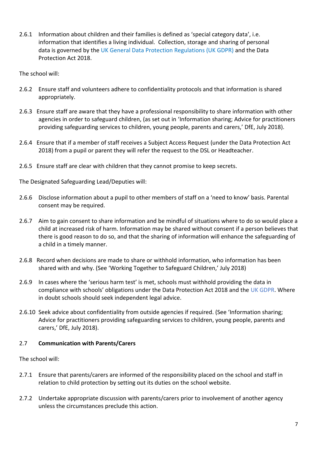2.6.1 Information about children and their families is defined as 'special category data', i.e. information that identifies a living individual. Collection, storage and sharing of personal data is governed by the UK General Data Protection Regulations (UK GDPR) and the Data Protection Act 2018.

The school will:

- 2.6.2 Ensure staff and volunteers adhere to confidentiality protocols and that information is shared appropriately.
- 2.6.3 Ensure staff are aware that they have a professional responsibility to share information with other agencies in order to safeguard children, (as set out in 'Information sharing; Advice for practitioners providing safeguarding services to children, young people, parents and carers,' DfE, July 2018).
- 2.6.4 Ensure that if a member of staff receives a Subject Access Request (under the Data Protection Act 2018) from a pupil or parent they will refer the request to the DSL or Headteacher.
- 2.6.5 Ensure staff are clear with children that they cannot promise to keep secrets.

The Designated Safeguarding Lead/Deputies will:

- 2.6.6 Disclose information about a pupil to other members of staff on a 'need to know' basis. Parental consent may be required.
- 2.6.7 Aim to gain consent to share information and be mindful of situations where to do so would place a child at increased risk of harm. Information may be shared without consent if a person believes that there is good reason to do so, and that the sharing of information will enhance the safeguarding of a child in a timely manner.
- 2.6.8 Record when decisions are made to share or withhold information, who information has been shared with and why. (See 'Working Together to Safeguard Children,' July 2018)
- 2.6.9 In cases where the 'serious harm test' is met, schools must withhold providing the data in compliance with schools' obligations under the Data Protection Act 2018 and the UK GDPR. Where in doubt schools should seek independent legal advice.
- 2.6.10 Seek advice about confidentiality from outside agencies if required. (See 'Information sharing; Advice for practitioners providing safeguarding services to children, young people, parents and carers,' DfE, July 2018).

#### 2.7 **Communication with Parents/Carers**

The school will:

- 2.7.1 Ensure that parents/carers are informed of the responsibility placed on the school and staff in relation to child protection by setting out its duties on the school website.
- 2.7.2 Undertake appropriate discussion with parents/carers prior to involvement of another agency unless the circumstances preclude this action.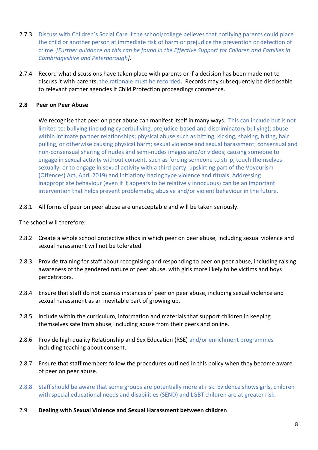- 2.7.3 Discuss with Children's Social Care if the school/college believes that notifying parents could place the child or another person at immediate risk of harm or prejudice the prevention or detection of crime. *[Further guidance on this can be found in the Effective Support for Children and Families in Cambridgeshire and Peterborough].*
- 2.7.4 Record what discussions have taken place with parents or if a decision has been made not to discuss it with parents, the rationale must be recorded. Records may subsequently be disclosable to relevant partner agencies if Child Protection proceedings commence.

#### **2.8 Peer on Peer Abuse**

We recognise that peer on peer abuse can manifest itself in many ways. This can include but is not limited to: bullying (including cyberbullying, prejudice-based and discriminatory bullying); abuse within intimate partner relationships; physical abuse such as hitting, kicking, shaking, biting, hair pulling, or otherwise causing physical harm; sexual violence and sexual harassment; consensual and non-consensual sharing of nudes and semi-nudes images and/or videos; causing someone to engage in sexual activity without consent, such as forcing someone to strip, touch themselves sexually, or to engage in sexual activity with a third party; upskirting part of the Voyeurism (Offences) Act, April 2019) and initiation/ hazing type violence and rituals. Addressing inappropriate behaviour (even if it appears to be relatively innocuous) can be an important intervention that helps prevent problematic, abusive and/or violent behaviour in the future.

#### 2.8.1 All forms of peer on peer abuse are unacceptable and will be taken seriously.

The school will therefore:

- 2.8.2 Create a whole school protective ethos in which peer on peer abuse, including sexual violence and sexual harassment will not be tolerated.
- 2.8.3 Provide training for staff about recognising and responding to peer on peer abuse, including raising awareness of the gendered nature of peer abuse, with girls more likely to be victims and boys perpetrators.
- 2.8.4 Ensure that staff do not dismiss instances of peer on peer abuse, including sexual violence and sexual harassment as an inevitable part of growing up.
- 2.8.5 Include within the curriculum, information and materials that support children in keeping themselves safe from abuse, including abuse from their peers and online.
- 2.8.6 Provide high quality Relationship and Sex Education (RSE) and/or enrichment programmes including teaching about consent.
- 2.8.7 Ensure that staff members follow the procedures outlined in this policy when they become aware of peer on peer abuse.
- 2.8.8 Staff should be aware that some groups are potentially more at risk. Evidence shows girls, children with special educational needs and disabilities (SEND) and LGBT children are at greater risk.
- 2.9 **Dealing with Sexual Violence and Sexual Harassment between children**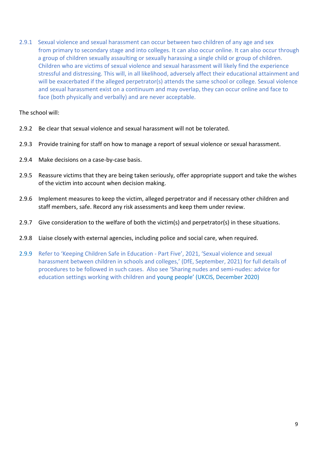2.9.1 Sexual violence and sexual harassment can occur between two children of any age and sex from primary to secondary stage and into colleges. It can also occur online. It can also occur through a group of children sexually assaulting or sexually harassing a single child or group of children. Children who are victims of sexual violence and sexual harassment will likely find the experience stressful and distressing. This will, in all likelihood, adversely affect their educational attainment and will be exacerbated if the alleged perpetrator(s) attends the same school or college. Sexual violence and sexual harassment exist on a continuum and may overlap, they can occur online and face to face (both physically and verbally) and are never acceptable.

The school will:

- 2.9.2 Be clear that sexual violence and sexual harassment will not be tolerated.
- 2.9.3 Provide training for staff on how to manage a report of sexual violence or sexual harassment.
- 2.9.4 Make decisions on a case-by-case basis.
- 2.9.5 Reassure victims that they are being taken seriously, offer appropriate support and take the wishes of the victim into account when decision making.
- 2.9.6 Implement measures to keep the victim, alleged perpetrator and if necessary other children and staff members, safe. Record any risk assessments and keep them under review.
- 2.9.7 Give consideration to the welfare of both the victim(s) and perpetrator(s) in these situations.
- 2.9.8 Liaise closely with external agencies, including police and social care, when required.
- 2.9.9 Refer to 'Keeping Children Safe in Education Part Five', 2021, 'Sexual violence and sexual harassment between children in schools and colleges,' (DfE, September, 2021) for full details of procedures to be followed in such cases. Also see 'Sharing nudes and semi-nudes: advice for education settings working with children and young people' (UKCIS, December 2020)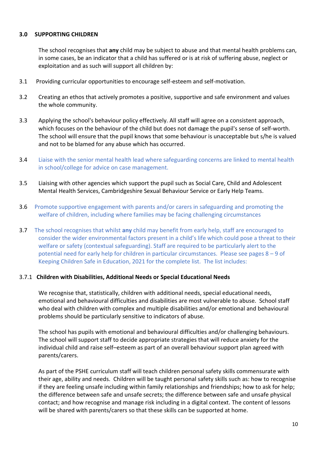#### **3.0 SUPPORTING CHILDREN**

The school recognises that **any** child may be subject to abuse and that mental health problems can, in some cases, be an indicator that a child has suffered or is at risk of suffering abuse, neglect or exploitation and as such will support all children by:

- 3.1 Providing curricular opportunities to encourage self-esteem and self-motivation.
- 3.2 Creating an ethos that actively promotes a positive, supportive and safe environment and values the whole community.
- 3.3 Applying the school's behaviour policy effectively. All staff will agree on a consistent approach, which focuses on the behaviour of the child but does not damage the pupil's sense of self-worth. The school will ensure that the pupil knows that some behaviour is unacceptable but s/he is valued and not to be blamed for any abuse which has occurred.
- 3.4 Liaise with the senior mental health lead where safeguarding concerns are linked to mental health in school/college for advice on case management.
- 3.5 Liaising with other agencies which support the pupil such as Social Care, Child and Adolescent Mental Health Services, Cambridgeshire Sexual Behaviour Service or Early Help Teams.
- 3.6 Promote supportive engagement with parents and/or carers in safeguarding and promoting the welfare of children, including where families may be facing challenging circumstances
- 3.7 The school recognises that whilst **any** child may benefit from early help, staff are encouraged to consider the wider environmental factors present in a child's life which could pose a threat to their welfare or safety (contextual safeguarding). Staff are required to be particularly alert to the potential need for early help for children in particular circumstances. Please see pages 8 – 9 of Keeping Children Safe in Education, 2021 for the complete list. The list includes:

#### 3.7.1 **Children with Disabilities, Additional Needs or Special Educational Needs**

We recognise that, statistically, children with additional needs, special educational needs, emotional and behavioural difficulties and disabilities are most vulnerable to abuse. School staff who deal with children with complex and multiple disabilities and/or emotional and behavioural problems should be particularly sensitive to indicators of abuse*.* 

The school has pupils with emotional and behavioural difficulties and/or challenging behaviours. The school will support staff to decide appropriate strategies that will reduce anxiety for the individual child and raise self–esteem as part of an overall behaviour support plan agreed with parents/carers.

As part of the PSHE curriculum staff will teach children personal safety skills commensurate with their age, ability and needs. Children will be taught personal safety skills such as: how to recognise if they are feeling unsafe including within family relationships and friendships; how to ask for help; the difference between safe and unsafe secrets; the difference between safe and unsafe physical contact; and how recognise and manage risk including in a digital context. The content of lessons will be shared with parents/carers so that these skills can be supported at home.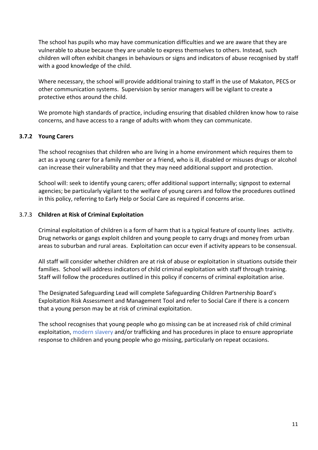The school has pupils who may have communication difficulties and we are aware that they are vulnerable to abuse because they are unable to express themselves to others. Instead, such children will often exhibit changes in behaviours or signs and indicators of abuse recognised by staff with a good knowledge of the child.

Where necessary, the school will provide additional training to staff in the use of Makaton, PECS or other communication systems. Supervision by senior managers will be vigilant to create a protective ethos around the child.

We promote high standards of practice, including ensuring that disabled children know how to raise concerns, and have access to a range of adults with whom they can communicate.

#### **3.7.2 Young Carers**

The school recognises that children who are living in a home environment which requires them to act as a young carer for a family member or a friend, who is ill, disabled or misuses drugs or alcohol can increase their vulnerability and that they may need additional support and protection.

School will: seek to identify young carers; offer additional support internally; signpost to external agencies; be particularly vigilant to the welfare of young carers and follow the procedures outlined in this policy, referring to Early Help or Social Care as required if concerns arise.

#### 3.7.3 **Children at Risk of Criminal Exploitation**

Criminal exploitation of children is a form of harm that is a typical feature of county lines activity. Drug networks or gangs exploit children and young people to carry drugs and money from urban areas to suburban and rural areas. Exploitation can occur even if activity appears to be consensual.

All staff will consider whether children are at risk of abuse or exploitation in situations outside their families. School will address indicators of child criminal exploitation with staff through training. Staff will follow the procedures outlined in this policy if concerns of criminal exploitation arise.

The Designated Safeguarding Lead will complete Safeguarding Children Partnership Board's [Exploitation Risk Assessment and Management Tool](http://www.safeguardingcambspeterborough.org.uk/wp-content/uploads/2018/05/Exploitation-CSECCE-Risk-Assessment-Tool.docx) and refer to Social Care if there is a concern that a young person may be at risk of criminal exploitation.

The school recognises that young people who go missing can be at increased risk of child criminal exploitation, modern slavery and/or trafficking and has procedures in place to ensure appropriate response to children and young people who go missing, particularly on repeat occasions.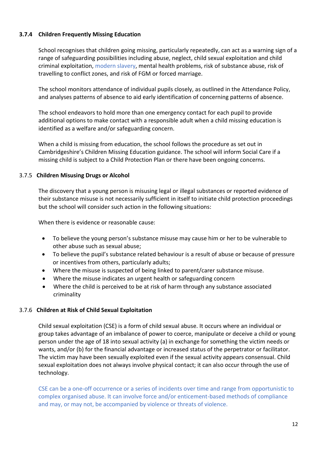#### **3.7.4 Children Frequently Missing Education**

School recognises that children going missing, particularly repeatedly, can act as a warning sign of a range of safeguarding possibilities including abuse, neglect, child sexual exploitation and child criminal exploitation, modern slavery, mental health problems, risk of substance abuse, risk of travelling to conflict zones, and risk of FGM or forced marriage.

The school monitors attendance of individual pupils closely, as outlined in the Attendance Policy, and analyses patterns of absence to aid early identification of concerning patterns of absence.

The school endeavors to hold more than one emergency contact for each pupil to provide additional options to make contact with a responsible adult when a child missing education is identified as a welfare and/or safeguarding concern.

When a child is missing from education, the school follows the procedure as set out in Cambridgeshire's Children Missing Education guidance. The school will inform Social Care if a missing child is subject to a Child Protection Plan or there have been ongoing concerns.

#### 3.7.5 **Children Misusing Drugs or Alcohol**

The discovery that a young person is misusing legal or illegal substances or reported evidence of their substance misuse is not necessarily sufficient in itself to initiate child protection proceedings but the school will consider such action in the following situations:

When there is evidence or reasonable cause:

- To believe the young person's substance misuse may cause him or her to be vulnerable to other abuse such as sexual abuse;
- To believe the pupil's substance related behaviour is a result of abuse or because of pressure or incentives from others, particularly adults;
- Where the misuse is suspected of being linked to parent/carer substance misuse.
- Where the misuse indicates an urgent health or safeguarding concern
- Where the child is perceived to be at risk of harm through any substance associated criminality

#### 3.7.6 **Children at Risk of Child Sexual Exploitation**

Child sexual exploitation (CSE) is a form of child sexual abuse. It occurs where an individual or group takes advantage of an imbalance of power to coerce, manipulate or deceive a child or young person under the age of 18 into sexual activity (a) in exchange for something the victim needs or wants, and/or (b) for the financial advantage or increased status of the perpetrator or facilitator. The victim may have been sexually exploited even if the sexual activity appears consensual. Child sexual exploitation does not always involve physical contact; it can also occur through the use of technology.

CSE can be a one-off occurrence or a series of incidents over time and range from opportunistic to complex organised abuse. It can involve force and/or enticement-based methods of compliance and may, or may not, be accompanied by violence or threats of violence.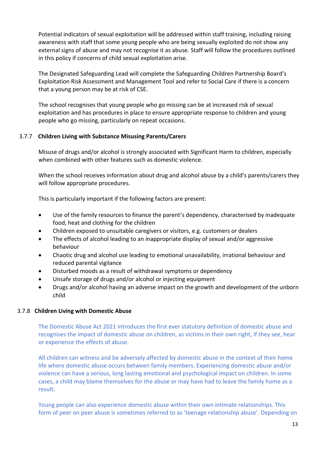Potential indicators of sexual exploitation will be addressed within staff training, including raising awareness with staff that some young people who are being sexually exploited do not show any external signs of abuse and may not recognise it as abuse. Staff will follow the procedures outlined in this policy if concerns of child sexual exploitation arise.

The Designated Safeguarding Lead will complete the Safeguarding Children Partnership Board's [Exploitation Risk Assessment and Management Tool](http://www.safeguardingcambspeterborough.org.uk/wp-content/uploads/2018/05/Exploitation-CSECCE-Risk-Assessment-Tool.docx) and refer to Social Care if there is a concern that a young person may be at risk of CSE.

The school recognises that young people who go missing can be at increased risk of sexual exploitation and has procedures in place to ensure appropriate response to children and young people who go missing, particularly on repeat occasions.

#### 3.7.7 **Children Living with Substance Misusing Parents/Carers**

Misuse of drugs and/or alcohol is strongly associated with Significant Harm to children, especially when combined with other features such as domestic violence.

When the school receives information about drug and alcohol abuse by a child's parents/carers they will follow appropriate procedures.

This is particularly important if the following factors are present:

- Use of the family resources to finance the parent's dependency, characterised by inadequate food, heat and clothing for the children
- Children exposed to unsuitable caregivers or visitors, e.g. customers or dealers
- The effects of alcohol leading to an inappropriate display of sexual and/or aggressive behaviour
- Chaotic drug and alcohol use leading to emotional unavailability, irrational behaviour and reduced parental vigilance
- Disturbed moods as a result of withdrawal symptoms or dependency
- Unsafe storage of drugs and/or alcohol or injecting equipment
- Drugs and/or alcohol having an adverse impact on the growth and development of the unborn child

#### 3.7.8 **Children Living with Domestic Abuse**

The Domestic Abuse Act 2021 introduces the first ever statutory definition of domestic abuse and recognises the impact of domestic abuse on children, as victims in their own right, if they see, hear or experience the effects of abuse.

All children can witness and be adversely affected by domestic abuse in the context of their home life where domestic abuse occurs between family members. Experiencing domestic abuse and/or violence can have a serious, long lasting emotional and psychological impact on children. In some cases, a child may blame themselves for the abuse or may have had to leave the family home as a result.

Young people can also experience domestic abuse within their own intimate relationships. This form of peer on peer abuse is sometimes referred to as 'teenage relationship abuse'. Depending on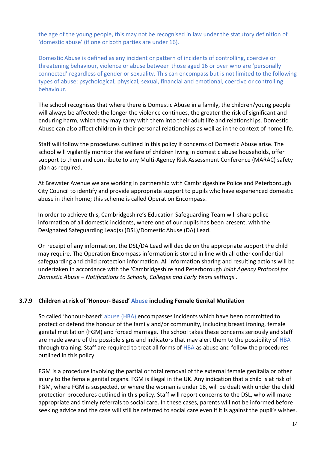the age of the young people, this may not be recognised in law under the statutory definition of 'domestic abuse' (if one or both parties are under 16).

Domestic Abuse is defined as any incident or pattern of incidents of controlling, coercive or threatening behaviour, violence or abuse between those aged 16 or over who are 'personally connected' regardless of gender or sexuality. This can encompass but is not limited to the following types of abuse: psychological, physical, sexual, financial and emotional, coercive or controlling behaviour.

The school recognises that where there is Domestic Abuse in a family, the children/young people will always be affected; the longer the violence continues, the greater the risk of significant and enduring harm, which they may carry with them into their adult life and relationships. Domestic Abuse can also affect children in their personal relationships as well as in the context of home life.

Staff will follow the procedures outlined in this policy if concerns of Domestic Abuse arise. The school will vigilantly monitor the welfare of children living in domestic abuse households, offer support to them and contribute to any Multi-Agency Risk Assessment Conference (MARAC) safety plan as required.

At Brewster Avenue we are working in partnership with Cambridgeshire Police and Peterborough City Council to identify and provide appropriate support to pupils who have experienced domestic abuse in their home; this scheme is called Operation Encompass.

In order to achieve this, Cambridgeshire's Education Safeguarding Team will share police information of all domestic incidents, where one of our pupils has been present, with the Designated Safeguarding Lead(s) (DSL)/Domestic Abuse (DA) Lead.

On receipt of any information, the DSL/DA Lead will decide on the appropriate support the child may require. The Operation Encompass information is stored in line with all other confidential safeguarding and child protection information. All information sharing and resulting actions will be undertaken in accordance with the 'Cambridgeshire and Peterborough *Joint Agency Protocol for Domestic Abuse – Notifications to Schools, Colleges and Early Years settings*'.

#### **3.7.9 Children at risk of 'Honour- Based' Abuse including Female Genital Mutilation**

So called 'honour-based' abuse (HBA) encompasses incidents which have been committed to protect or defend the honour of the family and/or community, including breast ironing, female genital mutilation (FGM) and forced marriage. The school takes these concerns seriously and staff are made aware of the possible signs and indicators that may alert them to the possibility of HBA through training. Staff are required to treat all forms of HBA as abuse and follow the procedures outlined in this policy.

FGM is a procedure involving the partial or total removal of the external female genitalia or other injury to the female genital organs. FGM is illegal in the UK. Any indication that a child is at risk of FGM, where FGM is suspected, or where the woman is under 18, will be dealt with under the child protection procedures outlined in this policy. Staff will report concerns to the DSL, who will make appropriate and timely referrals to social care. In these cases, parents will not be informed before seeking advice and the case will still be referred to social care even if it is against the pupil's wishes.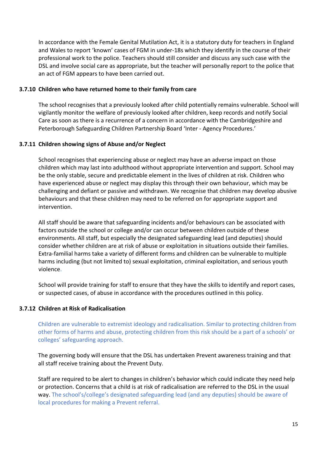In accordance with the Female Genital Mutilation Act, it is a statutory duty for teachers in England and Wales to report 'known' cases of FGM in under-18s which they identify in the course of their professional work to the police. Teachers should still consider and discuss any such case with the DSL and involve social care as appropriate, but the teacher will personally report to the police that an act of FGM appears to have been carried out.

#### **3.7.10 Children who have returned home to their family from care**

The school recognises that a previously looked after child potentially remains vulnerable. School will vigilantly monitor the welfare of previously looked after children, keep records and notify Social Care as soon as there is a recurrence of a concern in accordance with the Cambridgeshire and Peterborough Safeguarding Children Partnership Board 'Inter - Agency Procedures.'

#### **3.7.11 Children showing signs of Abuse and/or Neglect**

School recognises that experiencing abuse or neglect may have an adverse impact on those children which may last into adulthood without appropriate intervention and support. School may be the only stable, secure and predictable element in the lives of children at risk. Children who have experienced abuse or neglect may display this through their own behaviour, which may be challenging and defiant or passive and withdrawn. We recognise that children may develop abusive behaviours and that these children may need to be referred on for appropriate support and intervention.

All staff should be aware that safeguarding incidents and/or behaviours can be associated with factors outside the school or college and/or can occur between children outside of these environments. All staff, but especially the designated safeguarding lead (and deputies) should consider whether children are at risk of abuse or exploitation in situations outside their families. Extra-familial harms take a variety of different forms and children can be vulnerable to multiple harms including (but not limited to) sexual exploitation, criminal exploitation, and serious youth violence.

School will provide training for staff to ensure that they have the skills to identify and report cases, or suspected cases, of abuse in accordance with the procedures outlined in this policy.

#### **3.7.12 Children at Risk of Radicalisation**

Children are vulnerable to extremist ideology and radicalisation. Similar to protecting children from other forms of harms and abuse, protecting children from this risk should be a part of a schools' or colleges' safeguarding approach.

The governing body will ensure that the DSL has undertaken Prevent awareness training and that all staff receive training about the Prevent Duty.

Staff are required to be alert to changes in children's behavior which could indicate they need help or protection. Concerns that a child is at risk of radicalisation are referred to the DSL in the usual way. The school's/college's designated safeguarding lead (and any deputies) should be aware of local procedures for making a Prevent referral.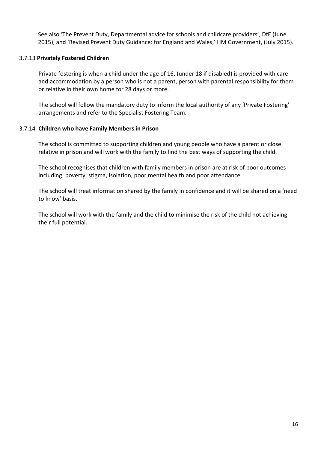See also 'The Prevent Duty, Departmental advice for schools and childcare providers', DfE (June 2015), and 'Revised Prevent Duty Guidance: for England and Wales,' HM Government, (July 2015).

#### 3.7.13 **Privately Fostered Children**

Private fostering is when a child under the age of 16, (under 18 if disabled) is provided with care and accommodation by a person who is not a parent, person with parental responsibility for them or relative in their own home for 28 days or more.

The school will follow the mandatory duty to inform the local authority of any 'Private Fostering' arrangements and refer to the Specialist Fostering Team.

#### 3.7.14 **Children who have Family Members in Prison**

The school is committed to supporting children and young people who have a parent or close relative in prison and will work with the family to find the best ways of supporting the child.

The school recognises that children with family members in prison are at risk of poor outcomes including: poverty, stigma, isolation, poor mental health and poor attendance.

The school will treat information shared by the family in confidence and it will be shared on a 'need to know' basis.

The school will work with the family and the child to minimise the risk of the child not achieving their full potential.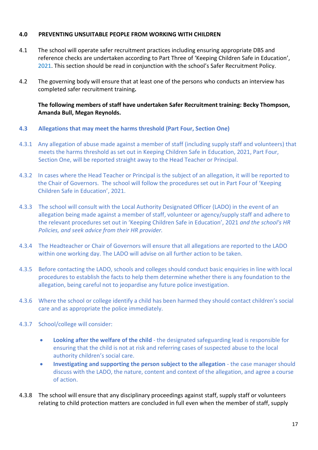#### **4.0 PREVENTING UNSUITABLE PEOPLE FROM WORKING WITH CHILDREN**

- 4.1 The school will operate safer recruitment practices including ensuring appropriate DBS and reference checks are undertaken according to Part Three of 'Keeping Children Safe in Education', 2021. This section should be read in conjunction with the school's Safer Recruitment Policy.
- 4.2 The governing body will ensure that at least one of the persons who conducts an interview has completed safer recruitment training**.**

#### **The following members of staff have undertaken Safer Recruitment training: Becky Thompson, Amanda Bull, Megan Reynolds.**

- **4.3 Allegations that may meet the harms threshold (Part Four, Section One)**
- 4.3.1 Any allegation of abuse made against a member of staff (including supply staff and volunteers) that meets the harms threshold as set out in Keeping Children Safe in Education, 2021, Part Four, Section One, will be reported straight away to the Head Teacher or Principal.
- 4.3.2 In cases where the Head Teacher or Principal is the subject of an allegation, it will be reported to the Chair of Governors. The school will follow the procedures set out in Part Four of 'Keeping Children Safe in Education', 2021.
- 4.3.3 The school will consult with the Local Authority Designated Officer (LADO) in the event of an allegation being made against a member of staff, volunteer or agency/supply staff and adhere to the relevant procedures set out in 'Keeping Children Safe in Education', 2021 *and the school's HR Policies, and seek advice from their HR provider.*
- 4.3.4 The Headteacher or Chair of Governors will ensure that all allegations are reported to the LADO within one working day. The LADO will advise on all further action to be taken.
- 4.3.5 Before contacting the LADO, schools and colleges should conduct basic enquiries in line with local procedures to establish the facts to help them determine whether there is any foundation to the allegation, being careful not to jeopardise any future police investigation.
- 4.3.6 Where the school or college identify a child has been harmed they should contact children's social care and as appropriate the police immediately.
- 4.3.7 School/college will consider:
	- **Looking after the welfare of the child** the designated safeguarding lead is responsible for ensuring that the child is not at risk and referring cases of suspected abuse to the local authority children's social care.
	- **Investigating and supporting the person subject to the allegation** the case manager should discuss with the LADO, the nature, content and context of the allegation, and agree a course of action.
- 4.3.8 The school will ensure that any disciplinary proceedings against staff, supply staff or volunteers relating to child protection matters are concluded in full even when the member of staff, supply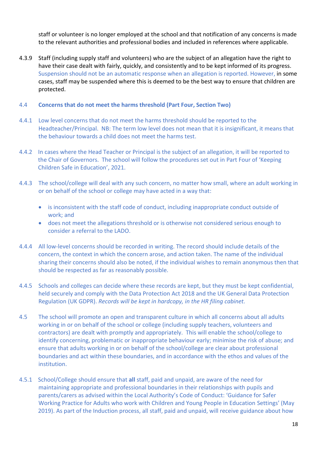staff or volunteer is no longer employed at the school and that notification of any concerns is made to the relevant authorities and professional bodies and included in references where applicable.

4.3.9 Staff (including supply staff and volunteers) who are the subject of an allegation have the right to have their case dealt with fairly, quickly, and consistently and to be kept informed of its progress. Suspension should not be an automatic response when an allegation is reported. However, in some cases, staff may be suspended where this is deemed to be the best way to ensure that children are protected.

#### 4.4 **Concerns that do not meet the harms threshold (Part Four, Section Two)**

- 4.4.1 Low level concerns that do not meet the harms threshold should be reported to the Headteacher/Principal. NB: The term low level does not mean that it is insignificant, it means that the behaviour towards a child does not meet the harms test.
- 4.4.2 In cases where the Head Teacher or Principal is the subject of an allegation, it will be reported to the Chair of Governors. The school will follow the procedures set out in Part Four of 'Keeping Children Safe in Education', 2021.
- 4.4.3 The school/college will deal with any such concern, no matter how small, where an adult working in or on behalf of the school or college may have acted in a way that:
	- is inconsistent with the staff code of conduct, including inappropriate conduct outside of work; and
	- does not meet the allegations threshold or is otherwise not considered serious enough to consider a referral to the LADO.
- 4.4.4 All low-level concerns should be recorded in writing. The record should include details of the concern, the context in which the concern arose, and action taken. The name of the individual sharing their concerns should also be noted, if the individual wishes to remain anonymous then that should be respected as far as reasonably possible.
- 4.4.5 Schools and colleges can decide where these records are kept, but they must be kept confidential, held securely and comply with the Data Protection Act 2018 and the UK General Data Protection Regulation (UK GDPR). *Records will be kept in hardcopy, in the HR filing cabinet.*
- 4.5 The school will promote an open and transparent culture in which all concerns about all adults working in or on behalf of the school or college (including supply teachers, volunteers and contractors) are dealt with promptly and appropriately. This will enable the school/college to identify concerning, problematic or inappropriate behaviour early; minimise the risk of abuse; and ensure that adults working in or on behalf of the school/college are clear about professional boundaries and act within these boundaries, and in accordance with the ethos and values of the institution.
- 4.5.1 School/College should ensure that **all** staff, paid and unpaid, are aware of the need for maintaining appropriate and professional boundaries in their relationships with pupils and parents/carers as advised within the Local Authority's Code of Conduct: 'Guidance for Safer Working Practice for Adults who work with Children and Young People in Education Settings' (May 2019). As part of the Induction process, all staff, paid and unpaid, will receive guidance about how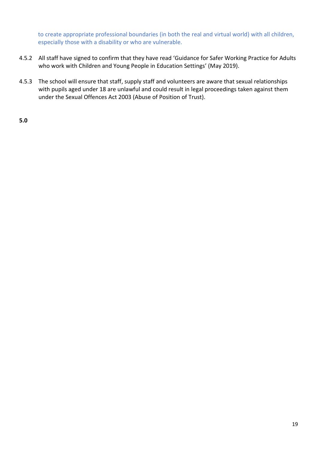to create appropriate professional boundaries (in both the real and virtual world) with all children, especially those with a disability or who are vulnerable.

- 4.5.2 All staff have signed to confirm that they have read 'Guidance for Safer Working Practice for Adults who work with Children and Young People in Education Settings' (May 2019).
- 4.5.3 The school will ensure that staff, supply staff and volunteers are aware that sexual relationships with pupils aged under 18 are unlawful and could result in legal proceedings taken against them under the Sexual Offences Act 2003 (Abuse of Position of Trust).

**5.0**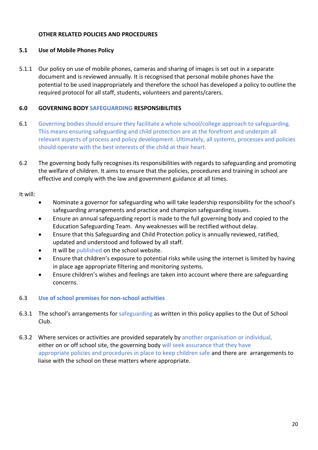#### **OTHER RELATED POLICIES AND PROCEDURES**

#### **5.1 Use of Mobile Phones Policy**

5.1.1 Our policy on use of mobile phones, cameras and sharing of images is set out in a separate document and is reviewed annually. It is recognised that personal mobile phones have the potential to be used inappropriately and therefore the school has developed a policy to outline the required protocol for all staff, students, volunteers and parents/carers.

#### **6.0 GOVERNING BODY SAFEGUARDING RESPONSIBILITIES**

- 6.1 Governing bodies should ensure they facilitate a whole school/college approach to safeguarding. This means ensuring safeguarding and child protection are at the forefront and underpin all relevant aspects of process and policy development. Ultimately, all systems, processes and policies should operate with the best interests of the child at their heart.
- 6.2 The governing body fully recognises its responsibilities with regards to safeguarding and promoting the welfare of children. It aims to ensure that the policies, procedures and training in school are effective and comply with the law and government guidance at all times.

It will:

- Nominate a governor for safeguarding who will take leadership responsibility for the school's safeguarding arrangements and practice and champion safeguarding issues.
- Ensure an annual safeguarding report is made to the full governing body and copied to the Education Safeguarding Team. Any weaknesses will be rectified without delay.
- Ensure that this Safeguarding and Child Protection policy is annually reviewed, ratified, updated and understood and followed by all staff.
- It will be published on the school website.
- Ensure that children's exposure to potential risks while using the internet is limited by having in place age appropriate filtering and monitoring systems.
- Ensure children's wishes and feelings are taken into account where there are safeguarding concerns.

#### 6.3 **Use of school premises for non-school activities**

- 6.3.1 The school's arrangements for safeguarding as written in this policy applies to the Out of School Club.
- 6.3.2 Where services or activities are provided separately by another organisation or individual, either on or off school site, the governing body will seek assurance that they have appropriate policies and procedures in place to keep children safe and there are arrangements to liaise with the school on these matters where appropriate.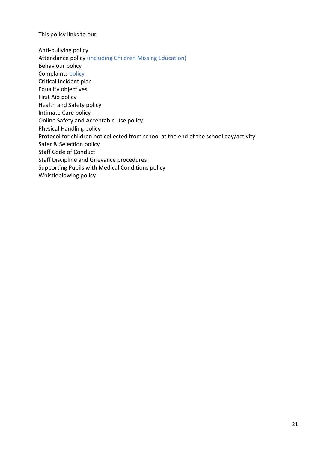This policy links to our:

Anti-bullying policy Attendance policy (including Children Missing Education) Behaviour policy Complaints policy Critical Incident plan Equality objectives First Aid policy Health and Safety policy Intimate Care policy Online Safety and Acceptable Use policy Physical Handling policy Protocol for children not collected from school at the end of the school day/activity Safer & Selection policy Staff Code of Conduct Staff Discipline and Grievance procedures Supporting Pupils with Medical Conditions policy Whistleblowing policy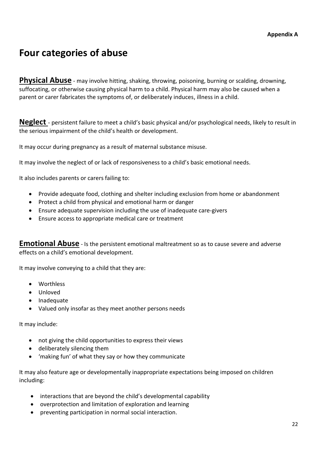## **Four categories of abuse**

**Physical Abuse** - may involve hitting, shaking, throwing, poisoning, burning or scalding, drowning, suffocating, or otherwise causing physical harm to a child. Physical harm may also be caused when a parent or carer fabricates the symptoms of, or deliberately induces, illness in a child.

**Neglect** - persistent failure to meet a child's basic physical and/or psychological needs, likely to result in the serious impairment of the child's health or development.

It may occur during pregnancy as a result of maternal substance misuse.

It may involve the neglect of or lack of responsiveness to a child's basic emotional needs.

It also includes parents or carers failing to:

- Provide adequate food, clothing and shelter including exclusion from home or abandonment
- Protect a child from physical and emotional harm or danger
- Ensure adequate supervision including the use of inadequate care-givers
- Ensure access to appropriate medical care or treatment

**Emotional Abuse** - Is the persistent emotional maltreatment so as to cause severe and adverse effects on a child's emotional development.

It may involve conveying to a child that they are:

- Worthless
- Unloved
- Inadequate
- Valued only insofar as they meet another persons needs

It may include:

- not giving the child opportunities to express their views
- deliberately silencing them
- 'making fun' of what they say or how they communicate

It may also feature age or developmentally inappropriate expectations being imposed on children including:

- interactions that are beyond the child's developmental capability
- overprotection and limitation of exploration and learning
- preventing participation in normal social interaction.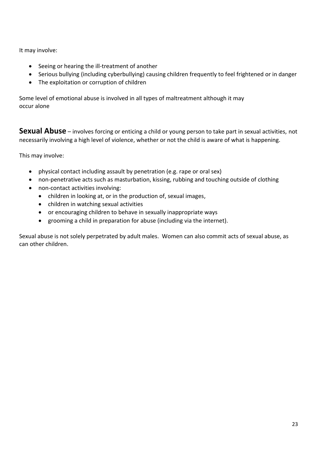It may involve:

- Seeing or hearing the ill-treatment of another
- Serious bullying (including cyberbullying) causing children frequently to feel frightened or in danger
- The exploitation or corruption of children

Some level of emotional abuse is involved in all types of maltreatment although it may occur alone

**Sexual Abuse** – involves forcing or enticing a child or young person to take part in sexual activities, not necessarily involving a high level of violence, whether or not the child is aware of what is happening.

This may involve:

- physical contact including assault by penetration (e.g. rape or oral sex)
- non-penetrative acts such as masturbation, kissing, rubbing and touching outside of clothing
- non-contact activities involving:
	- children in looking at, or in the production of, sexual images,
	- children in watching sexual activities
	- or encouraging children to behave in sexually inappropriate ways
	- grooming a child in preparation for abuse (including via the internet).

Sexual abuse is not solely perpetrated by adult males. Women can also commit acts of sexual abuse, as can other children.